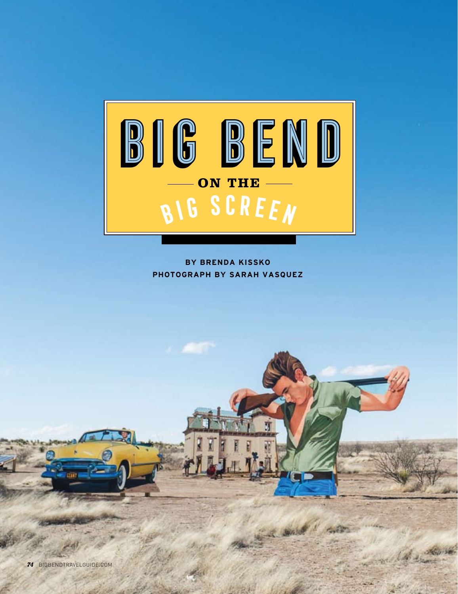

**BY BRENDA KISSKO PHOTOGRAPH BY SARAH VASQUEZ**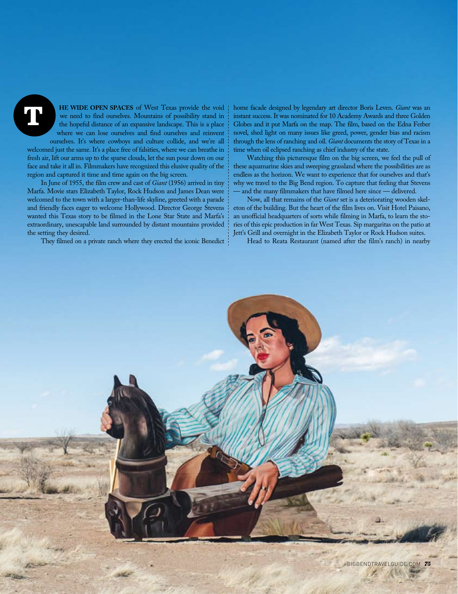**T**

**HE WIDE OPEN SPACES** of West Texas provide the void we need to find ourselves. Mountains of possibility stand in the hopeful distance of an expansive landscape. This is a place where we can lose ourselves and find ourselves and reinvent ourselves. It's where cowboys and culture collide, and we're all

welcomed just the same. It's a place free of falsities, where we can breathe in fresh air, lift our arms up to the sparse clouds, let the sun pour down on our face and take it all in. Filmmakers have recognized this elusive quality of the region and captured it time and time again on the big screen.

In June of 1955, the film crew and cast of *Giant* (1956) arrived in tiny Marfa. Movie stars Elizabeth Taylor, Rock Hudson and James Dean were welcomed to the town with a larger-than-life skyline, greeted with a parade and friendly faces eager to welcome Hollywood. Director George Stevens wanted this Texas story to be filmed in the Lone Star State and Marfa's extraordinary, unescapable land surrounded by distant mountains provided the setting they desired.

They filmed on a private ranch where they erected the iconic Benedict

home facade designed by legendary art director Boris Leven. *Giant* was an instant success. It was nominated for 10 Academy Awards and three Golden Globes and it put Marfa on the map. The film, based on the Edna Ferber novel, shed light on many issues like greed, power, gender bias and racism through the lens of ranching and oil. *Giant* documents the story of Texas in a time when oil eclipsed ranching as chief industry of the state.

Watching this picturesque film on the big screen, we feel the pull of these aquamarine skies and sweeping grassland where the possibilities are as endless as the horizon. We want to experience that for ourselves and that's why we travel to the Big Bend region. To capture that feeling that Stevens - and the many filmmakers that have filmed here since - delivered.

Now, all that remains of the *Giant* set is a deteriorating wooden skeleton of the building. But the heart of the film lives on. Visit Hotel Paisano, an unofficial headquarters of sorts while filming in Marfa, to learn the stories of this epic production in far West Texas. Sip margaritas on the patio at Jett's Grill and overnight in the Elizabeth Taylor or Rock Hudson suites.

Head to Reata Restaurant (named after the film's ranch) in nearby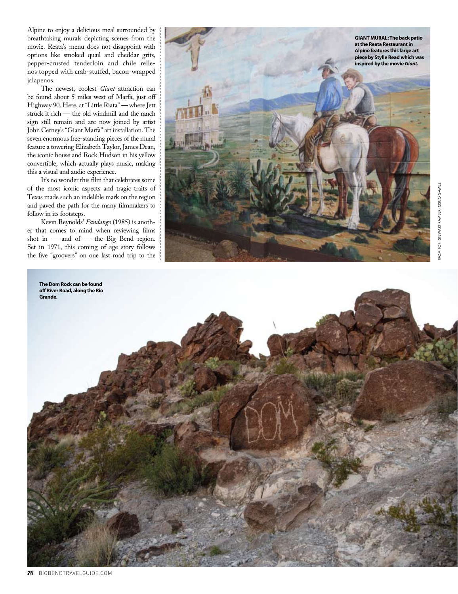Alpine to enjoy a delicious meal surrounded by breathtaking murals depicting scenes from the movie. Reata's menu does not disappoint with options like smoked quail and cheddar grits, pepper-crusted tenderloin and chile rellenos topped with crab-stuffed, bacon-wrapped jalapenos.

The newest, coolest *Giant* attraction can be found about 5 miles west of Marfa, just off Highway 90. Here, at "Little Riata" — where Jett struck it rich — the old windmill and the ranch sign still remain and are now joined by artist John Cerney's "Giant Marfa" art installation. The seven enormous free-standing pieces of the mural feature a towering Elizabeth Taylor, James Dean, the iconic house and Rock Hudson in his yellow convertible, which actually plays music, making this a visual and audio experience.

It's no wonder this film that celebrates some of the most iconic aspects and tragic traits of Texas made such an indelible mark on the region and paved the path for the many filmmakers to follow in its footsteps.

Kevin Reynolds' *Fandango* (1985) is another that comes to mind when reviewing films shot in — and of — the Big Bend region. Set in 1971, this coming of age story follows the five "groovers" on one last road trip to the



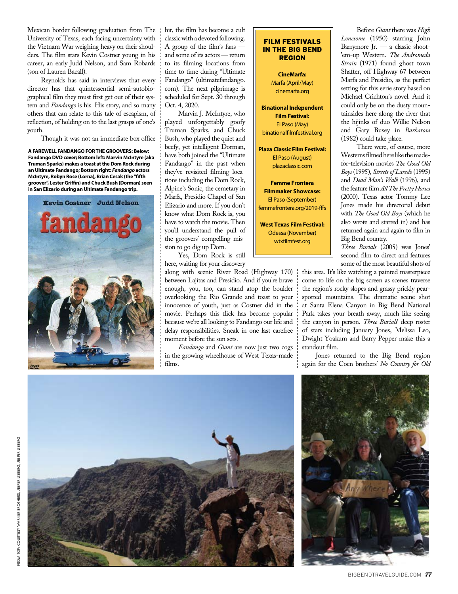Mexican border following graduation from The University of Texas, each facing uncertainty with the Vietnam War weighing heavy on their shoulders. The film stars Kevin Costner young in his career, an early Judd Nelson, and Sam Robards (son of Lauren Bacall).

Reynolds has said in interviews that every director has that quintessential semi-autobiographical film they must first get out of their system and *Fandango* is his. His story, and so many others that can relate to this tale of escapism, of reflection, of holding on to the last grasps of one's youth.

Though it was not an immediate box office

**A FAREWELL FANDANGO FOR THE GROOVERS: Below: Fandango DVD cover; Bottom left: Marvin McIntyre (aka Truman Sparks) makes a toast at the Dom Rock during an Ultimate Fandango; Bottom right:** *Fandango* **actors McIntyre, Robyn Rose (Lorna), Brian Cesak (the "fifth groover", Lester Griffin) and Chuck Bush (Dorman) seen in San Elizario during an Ultimate Fandango trip.**



hit, the film has become a cult classic with a devoted following. A group of the film's fans and some of its actors — return to its filming locations from time to time during "Ultimate Fandango" (ultimatefandango. com). The next pilgrimage is scheduled for Sept. 30 through Oct. 4, 2020.

Marvin J. McIntyre, who played unforgettably goofy Truman Sparks, and Chuck Bush, who played the quiet and beefy, yet intelligent Dorman, have both joined the "Ultimate Fandango" in the past when they've revisited filming locations including the Dom Rock, Alpine's Sonic, the cemetary in Marfa, Presidio Chapel of San Elizario and more. If you don't know what Dom Rock is, you have to watch the movie. Then you'll understand the pull of the groovers' compelling mission to go dig up Dom.

Yes, Dom Rock is still here, waiting for your discovery

along with scenic River Road (Highway 170) between Lajitas and Presidio. And if you're brave enough, you, too, can stand atop the boulder overlooking the Rio Grande and toast to your innocence of youth, just as Costner did in the movie. Perhaps this flick has become popular because we're all looking to Fandango our life and delay responsibilities. Sneak in one last carefree moment before the sun sets.

*Fandango* and *Giant* are now just two cogs in the growing wheelhouse of West Texas-made films.

| <b>IN THE BIG BEND</b><br><b>REGION</b> |
|-----------------------------------------|
| <b>CineMarfa:</b>                       |
| Marfa (April/May)                       |
| cinemarfa.org                           |
| <b>Binational Independent</b>           |
| <b>Film Festival:</b>                   |
| El Paso (May)                           |
| binationalfilmfestival.org              |
| <b>Plaza Classic Film Festival:</b>     |
| El Paso (August)                        |
| plazaclassic.com                        |
| <b>Femme Frontera</b>                   |
| <b>Filmmaker Showcase:</b>              |
| El Paso (September)                     |
| femmefrontera.org/2019-fffs             |
| <b>West Texas Film Festival:</b>        |
| Odessa (November)                       |
| wtxfilmfest.org                         |
|                                         |

FILM FESTIVALS

Before *Giant* there was *High Lonesome* (1950) starring John Barrymore Jr. — a classic shoot- 'em-up Western. *The Andromeda Strain* (1971) found ghost town Shafter, off Highway 67 between Marfa and Presidio, as the perfect setting for this eerie story based on Michael Crichton's novel. And it could only be on the dusty mountainsides here along the river that the hijinks of duo Willie Nelson and Gary Busey in *Barbarosa* (1982) could take place.

There were, of course, more Westerns filmed here like the madefor-television movies *The Good Old Boys* (1995), *Streets of Laredo* (1995) and *Dead Man's Walk* (1996), and the feature film *All The Pretty Horses* (2000). Texas actor Tommy Lee Jones made his directorial debut with *The Good Old Boys* (which he also wrote and starred in) and has returned again and again to film in Big Bend country.

*Three Burials* (2005) was Jones' second film to direct and features some of the most beautiful shots of

this area. It's like watching a painted masterpiece come to life on the big screen as scenes traverse the region's rocky slopes and grassy prickly pearspotted mountains. The dramatic scene shot at Santa Elena Canyon in Big Bend National Park takes your breath away, much like seeing the canyon in person. *Three Burials*' deep roster of stars including January Jones, Melissa Leo, Dwight Yoakum and Barry Pepper make this a standout film.

Jones returned to the Big Bend region again for the Coen brothers' *No Country for Old* 





from top: COURTESY WARNER BROTHERS, JESPER LISBERG, JESPER LISBERG

**COURTESY** TOP: FROM

WARNER BROTHERS, JESPER LISBERG, JESPER LISBERG